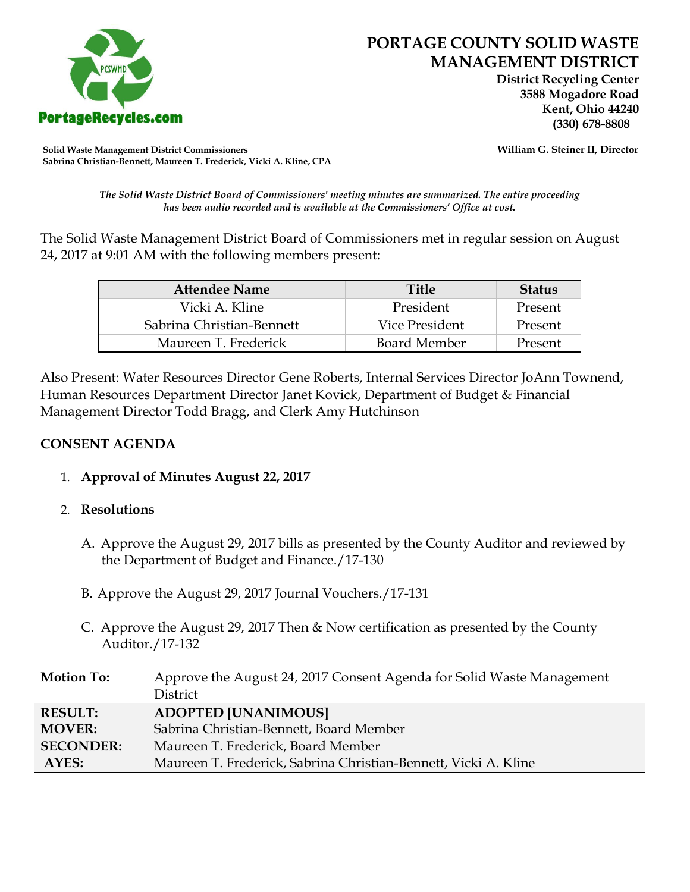

 **District Recycling Center 3588 Mogadore Road Kent, Ohio 44240**

**Solid Waste Management District Commissioners William G. Steiner II, Director Sabrina Christian-Bennett, Maureen T. Frederick, Vicki A. Kline, CPA**

*The Solid Waste District Board of Commissioners' meeting minutes are summarized. The entire proceeding has been audio recorded and is available at the Commissioners' Office at cost.*

The Solid Waste Management District Board of Commissioners met in regular session on August 24, 2017 at 9:01 AM with the following members present:

| <b>Attendee Name</b>      | <b>Title</b>        | <b>Status</b> |
|---------------------------|---------------------|---------------|
| Vicki A. Kline            | President           | Present       |
| Sabrina Christian-Bennett | Vice President      | Present       |
| Maureen T. Frederick      | <b>Board Member</b> | Present       |

Also Present: Water Resources Director Gene Roberts, Internal Services Director JoAnn Townend, Human Resources Department Director Janet Kovick, Department of Budget & Financial Management Director Todd Bragg, and Clerk Amy Hutchinson

# **CONSENT AGENDA**

1. **Approval of Minutes August 22, 2017**

## 2. **Resolutions**

- A. Approve the August 29, 2017 bills as presented by the County Auditor and reviewed by the Department of Budget and Finance./17-130
- B. Approve the August 29, 2017 Journal Vouchers./17-131
- C. Approve the August 29, 2017 Then & Now certification as presented by the County Auditor./17-132

| <b>Motion To:</b> | Approve the August 24, 2017 Consent Agenda for Solid Waste Management |
|-------------------|-----------------------------------------------------------------------|
|                   | <b>District</b>                                                       |
| <b>RESULT:</b>    | <b>ADOPTED [UNANIMOUS]</b>                                            |
| <b>MOVER:</b>     | Sabrina Christian-Bennett, Board Member                               |
| <b>SECONDER:</b>  | Maureen T. Frederick, Board Member                                    |
| AYES:             | Maureen T. Frederick, Sabrina Christian-Bennett, Vicki A. Kline       |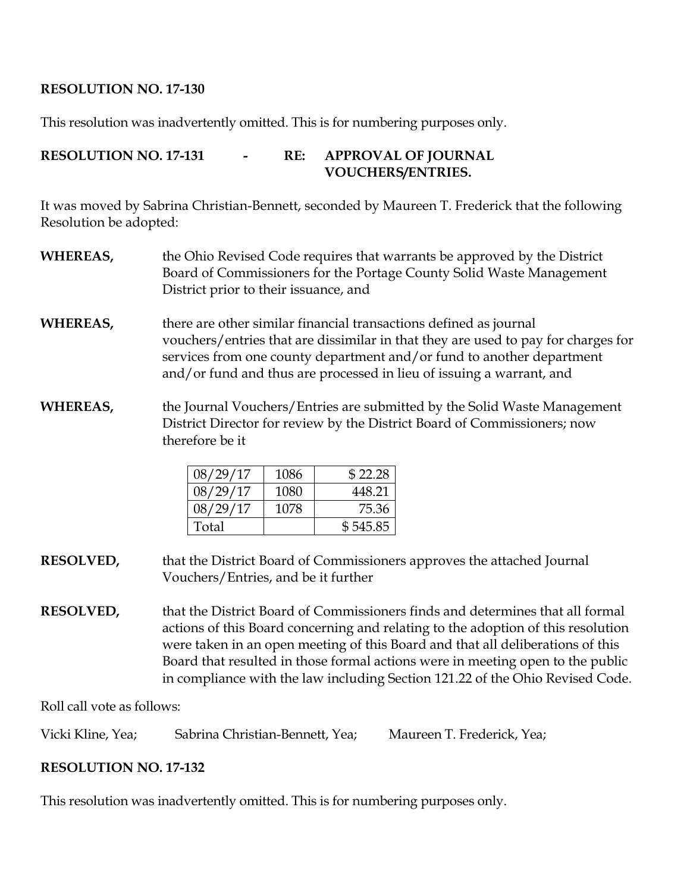## **RESOLUTION NO. 17-130**

This resolution was inadvertently omitted. This is for numbering purposes only.

# **RESOLUTION NO. 17-131 - RE: APPROVAL OF JOURNAL VOUCHERS/ENTRIES.**

It was moved by Sabrina Christian-Bennett, seconded by Maureen T. Frederick that the following Resolution be adopted:

- **WHEREAS,** the Ohio Revised Code requires that warrants be approved by the District Board of Commissioners for the Portage County Solid Waste Management District prior to their issuance, and
- **WHEREAS,** there are other similar financial transactions defined as journal vouchers/entries that are dissimilar in that they are used to pay for charges for services from one county department and/or fund to another department and/or fund and thus are processed in lieu of issuing a warrant, and
- **WHEREAS,** the Journal Vouchers/Entries are submitted by the Solid Waste Management District Director for review by the District Board of Commissioners; now therefore be it

| 08/29/17 | 1086 | \$22.28  |
|----------|------|----------|
| 08/29/17 | 1080 | 448.21   |
| 08/29/17 | 1078 | 75.36    |
| Total    |      | \$545.85 |

**RESOLVED,** that the District Board of Commissioners approves the attached Journal Vouchers/Entries, and be it further

**RESOLVED,** that the District Board of Commissioners finds and determines that all formal actions of this Board concerning and relating to the adoption of this resolution were taken in an open meeting of this Board and that all deliberations of this Board that resulted in those formal actions were in meeting open to the public in compliance with the law including Section 121.22 of the Ohio Revised Code.

Roll call vote as follows:

Vicki Kline, Yea; Sabrina Christian-Bennett, Yea; Maureen T. Frederick, Yea;

## **RESOLUTION NO. 17-132**

This resolution was inadvertently omitted. This is for numbering purposes only.